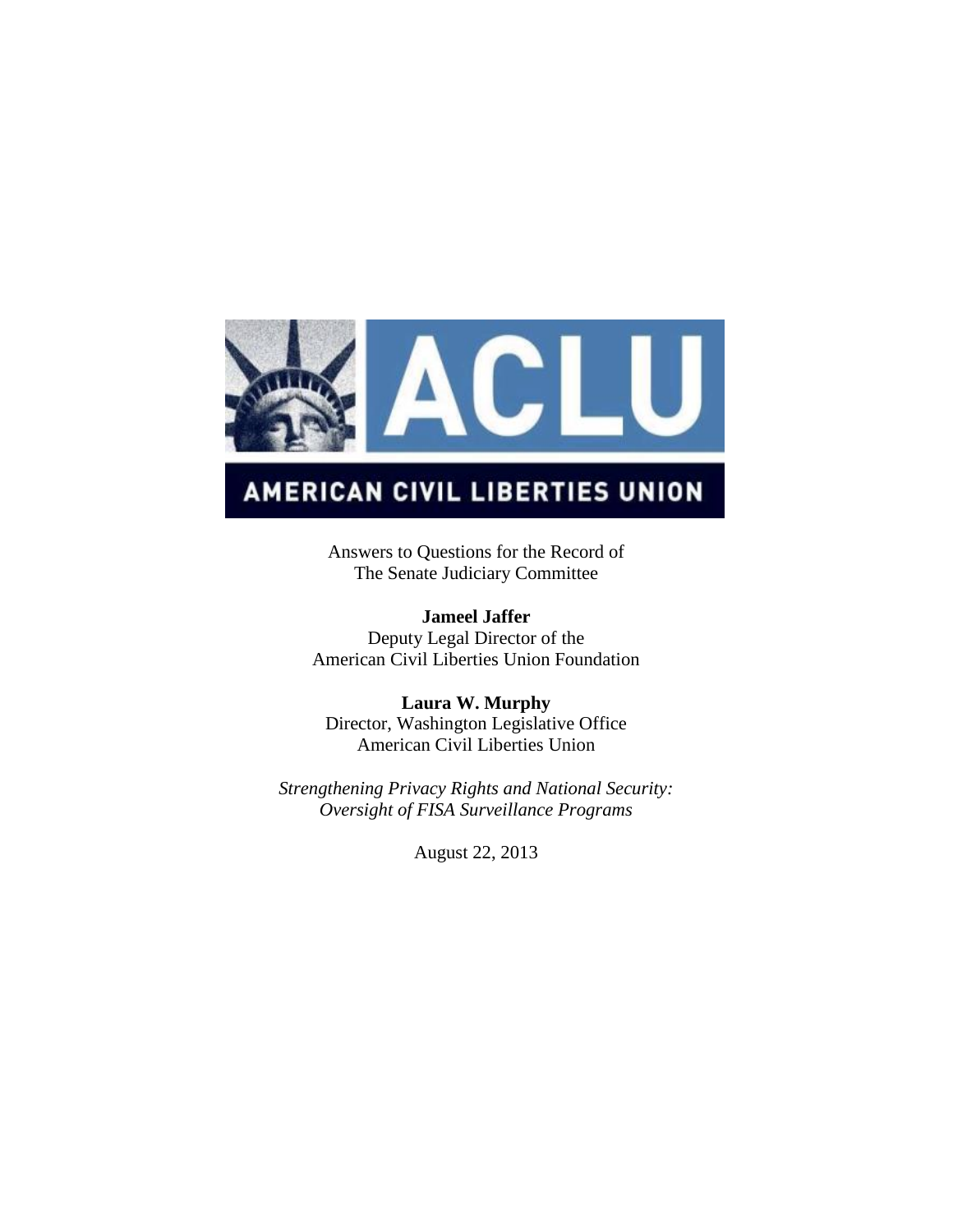

# **AMERICAN CIVIL LIBERTIES UNION**

Answers to Questions for the Record of The Senate Judiciary Committee

#### **Jameel Jaffer**

Deputy Legal Director of the American Civil Liberties Union Foundation

# **Laura W. Murphy**

Director, Washington Legislative Office American Civil Liberties Union

*Strengthening Privacy Rights and National Security: Oversight of FISA Surveillance Programs*

August 22, 2013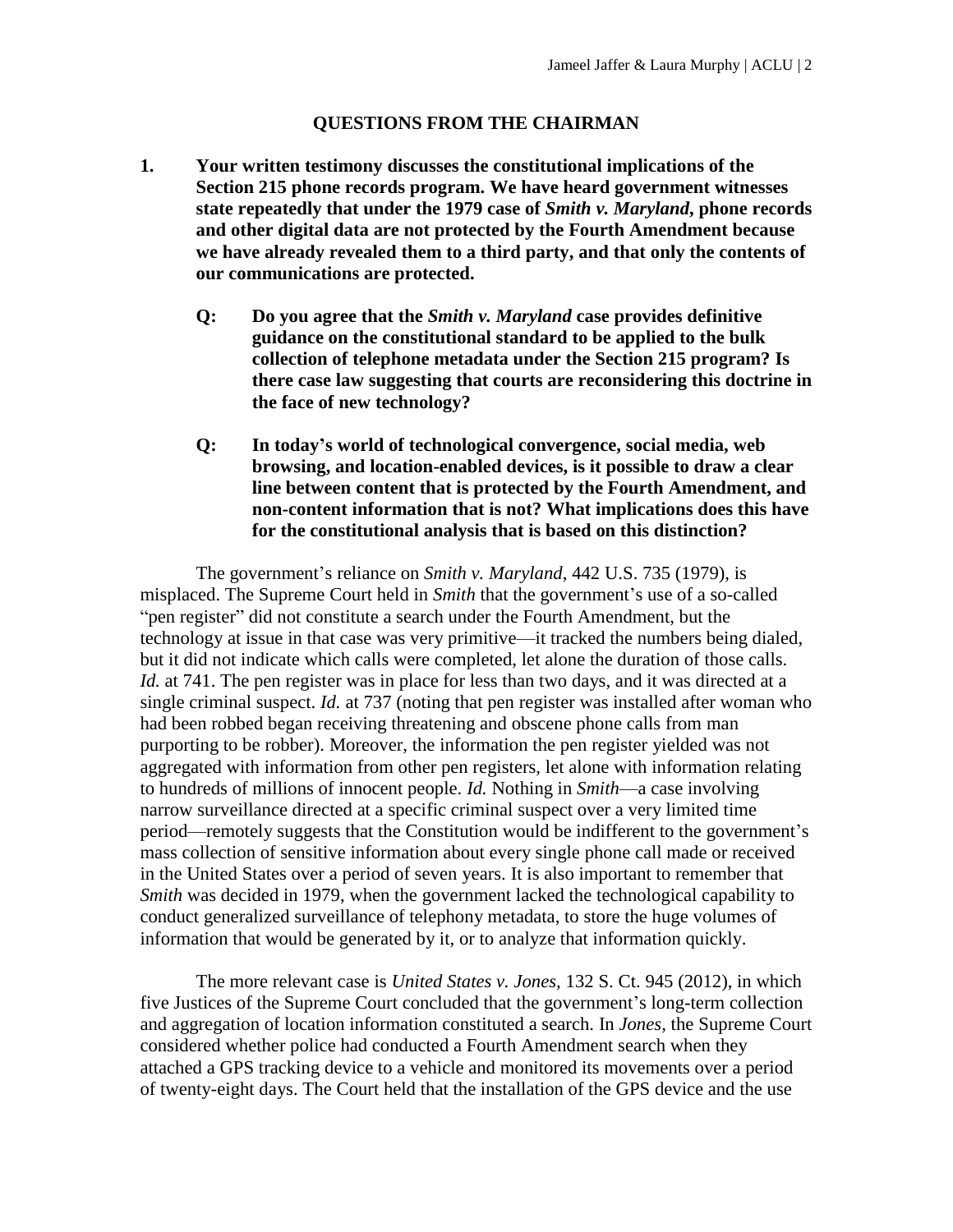#### **QUESTIONS FROM THE CHAIRMAN**

- **1. Your written testimony discusses the constitutional implications of the Section 215 phone records program. We have heard government witnesses state repeatedly that under the 1979 case of** *Smith v. Maryland***, phone records and other digital data are not protected by the Fourth Amendment because we have already revealed them to a third party, and that only the contents of our communications are protected.**
	- **Q: Do you agree that the** *Smith v. Maryland* **case provides definitive guidance on the constitutional standard to be applied to the bulk collection of telephone metadata under the Section 215 program? Is there case law suggesting that courts are reconsidering this doctrine in the face of new technology?**
	- **Q: In today's world of technological convergence, social media, web browsing, and location-enabled devices, is it possible to draw a clear line between content that is protected by the Fourth Amendment, and non-content information that is not? What implications does this have for the constitutional analysis that is based on this distinction?**

The government's reliance on *Smith v. Maryland*, 442 U.S. 735 (1979), is misplaced. The Supreme Court held in *Smith* that the government's use of a so-called "pen register" did not constitute a search under the Fourth Amendment, but the technology at issue in that case was very primitive—it tracked the numbers being dialed, but it did not indicate which calls were completed, let alone the duration of those calls. *Id.* at 741. The pen register was in place for less than two days, and it was directed at a single criminal suspect. *Id.* at 737 (noting that pen register was installed after woman who had been robbed began receiving threatening and obscene phone calls from man purporting to be robber). Moreover, the information the pen register yielded was not aggregated with information from other pen registers, let alone with information relating to hundreds of millions of innocent people. *Id.* Nothing in *Smith*—a case involving narrow surveillance directed at a specific criminal suspect over a very limited time period—remotely suggests that the Constitution would be indifferent to the government's mass collection of sensitive information about every single phone call made or received in the United States over a period of seven years. It is also important to remember that *Smith* was decided in 1979, when the government lacked the technological capability to conduct generalized surveillance of telephony metadata, to store the huge volumes of information that would be generated by it, or to analyze that information quickly.

The more relevant case is *United States v. Jones*, 132 S. Ct. 945 (2012), in which five Justices of the Supreme Court concluded that the government's long-term collection and aggregation of location information constituted a search. In *Jones,* the Supreme Court considered whether police had conducted a Fourth Amendment search when they attached a GPS tracking device to a vehicle and monitored its movements over a period of twenty-eight days. The Court held that the installation of the GPS device and the use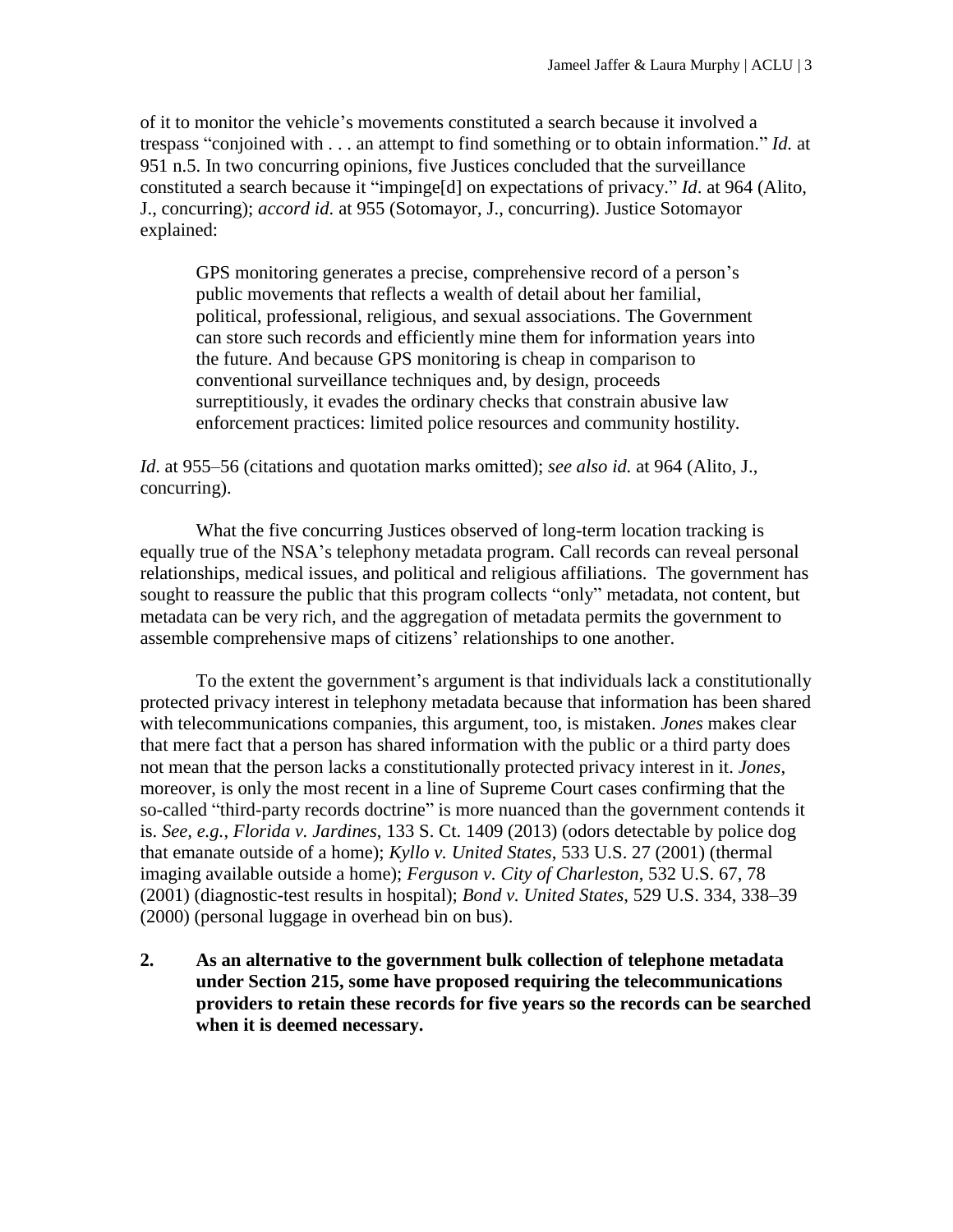of it to monitor the vehicle's movements constituted a search because it involved a trespass "conjoined with . . . an attempt to find something or to obtain information." *Id.* at 951 n.5. In two concurring opinions, five Justices concluded that the surveillance constituted a search because it "impinge<sup>[d]</sup> on expectations of privacy." *Id.* at 964 (Alito, J., concurring); *accord id.* at 955 (Sotomayor, J., concurring). Justice Sotomayor explained:

GPS monitoring generates a precise, comprehensive record of a person's public movements that reflects a wealth of detail about her familial, political, professional, religious, and sexual associations. The Government can store such records and efficiently mine them for information years into the future. And because GPS monitoring is cheap in comparison to conventional surveillance techniques and, by design, proceeds surreptitiously, it evades the ordinary checks that constrain abusive law enforcement practices: limited police resources and community hostility.

*Id*. at 955–56 (citations and quotation marks omitted); *see also id.* at 964 (Alito, J., concurring).

What the five concurring Justices observed of long-term location tracking is equally true of the NSA's telephony metadata program. Call records can reveal personal relationships, medical issues, and political and religious affiliations. The government has sought to reassure the public that this program collects "only" metadata, not content, but metadata can be very rich, and the aggregation of metadata permits the government to assemble comprehensive maps of citizens' relationships to one another.

To the extent the government's argument is that individuals lack a constitutionally protected privacy interest in telephony metadata because that information has been shared with telecommunications companies, this argument, too, is mistaken. *Jones* makes clear that mere fact that a person has shared information with the public or a third party does not mean that the person lacks a constitutionally protected privacy interest in it. *Jones*, moreover, is only the most recent in a line of Supreme Court cases confirming that the so-called "third-party records doctrine" is more nuanced than the government contends it is. *See, e.g.*, *Florida v. Jardines*, 133 S. Ct. 1409 (2013) (odors detectable by police dog that emanate outside of a home); *Kyllo v. United States*, 533 U.S. 27 (2001) (thermal imaging available outside a home); *Ferguson v. City of Charleston*, 532 U.S. 67, 78 (2001) (diagnostic-test results in hospital); *Bond v. United States*, 529 U.S. 334, 338–39 (2000) (personal luggage in overhead bin on bus).

**2. As an alternative to the government bulk collection of telephone metadata under Section 215, some have proposed requiring the telecommunications providers to retain these records for five years so the records can be searched when it is deemed necessary.**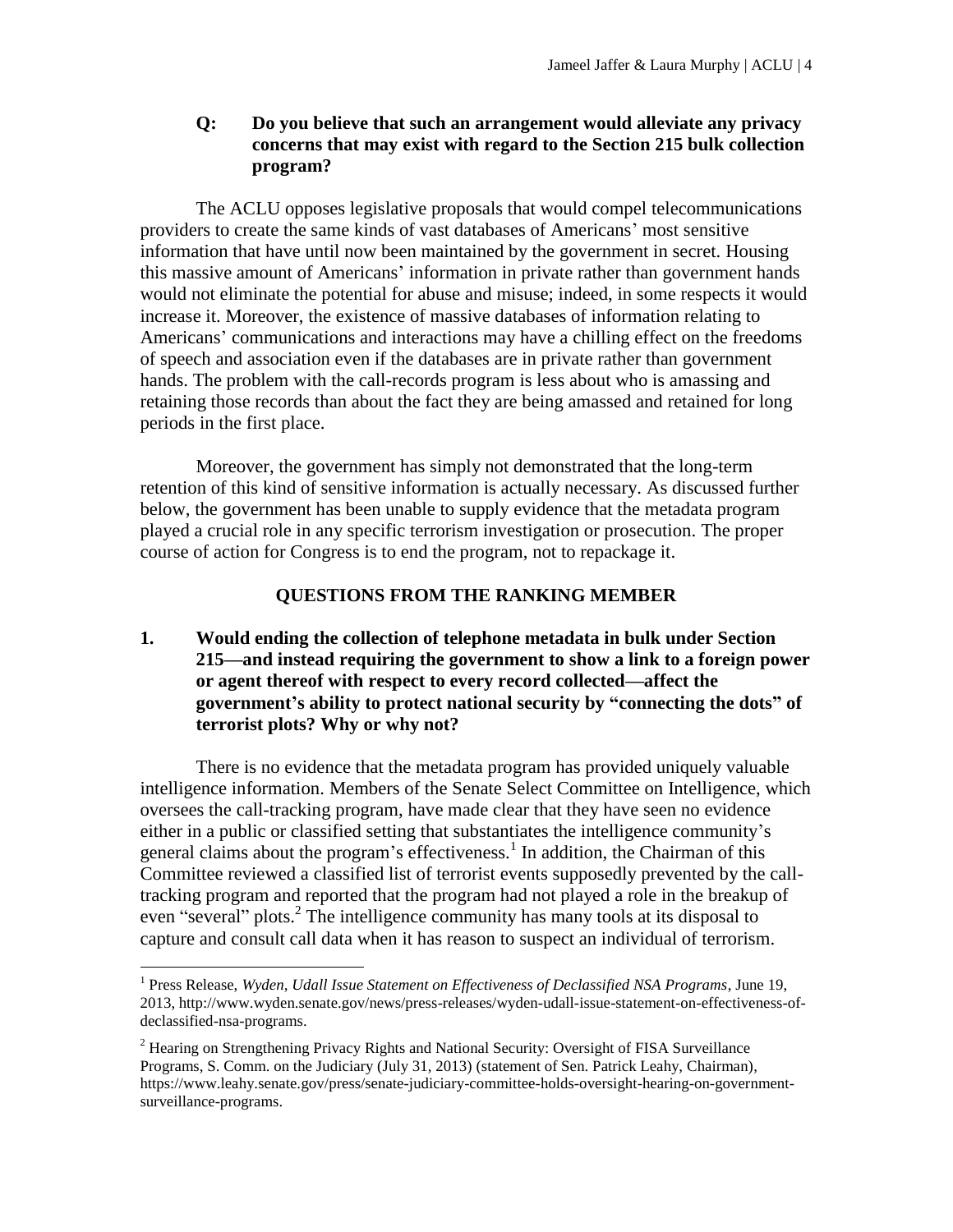# **Q: Do you believe that such an arrangement would alleviate any privacy concerns that may exist with regard to the Section 215 bulk collection program?**

The ACLU opposes legislative proposals that would compel telecommunications providers to create the same kinds of vast databases of Americans' most sensitive information that have until now been maintained by the government in secret. Housing this massive amount of Americans' information in private rather than government hands would not eliminate the potential for abuse and misuse; indeed, in some respects it would increase it. Moreover, the existence of massive databases of information relating to Americans' communications and interactions may have a chilling effect on the freedoms of speech and association even if the databases are in private rather than government hands. The problem with the call-records program is less about who is amassing and retaining those records than about the fact they are being amassed and retained for long periods in the first place.

Moreover, the government has simply not demonstrated that the long-term retention of this kind of sensitive information is actually necessary. As discussed further below, the government has been unable to supply evidence that the metadata program played a crucial role in any specific terrorism investigation or prosecution. The proper course of action for Congress is to end the program, not to repackage it.

# **QUESTIONS FROM THE RANKING MEMBER**

## **1. Would ending the collection of telephone metadata in bulk under Section 215—and instead requiring the government to show a link to a foreign power or agent thereof with respect to every record collected—affect the government's ability to protect national security by "connecting the dots" of terrorist plots? Why or why not?**

There is no evidence that the metadata program has provided uniquely valuable intelligence information. Members of the Senate Select Committee on Intelligence, which oversees the call-tracking program, have made clear that they have seen no evidence either in a public or classified setting that substantiates the intelligence community's general claims about the program's effectiveness.<sup>1</sup> In addition, the Chairman of this Committee reviewed a classified list of terrorist events supposedly prevented by the calltracking program and reported that the program had not played a role in the breakup of even "several" plots.<sup>2</sup> The intelligence community has many tools at its disposal to capture and consult call data when it has reason to suspect an individual of terrorism.

<sup>&</sup>lt;sup>1</sup> Press Release, *Wyden, Udall Issue Statement on Effectiveness of Declassified NSA Programs, June 19,* 2013, http://www.wyden.senate.gov/news/press-releases/wyden-udall-issue-statement-on-effectiveness-ofdeclassified-nsa-programs.

<sup>&</sup>lt;sup>2</sup> Hearing on Strengthening Privacy Rights and National Security: Oversight of FISA Surveillance Programs, S. Comm. on the Judiciary (July 31, 2013) (statement of Sen. Patrick Leahy, Chairman), https://www.leahy.senate.gov/press/senate-judiciary-committee-holds-oversight-hearing-on-governmentsurveillance-programs.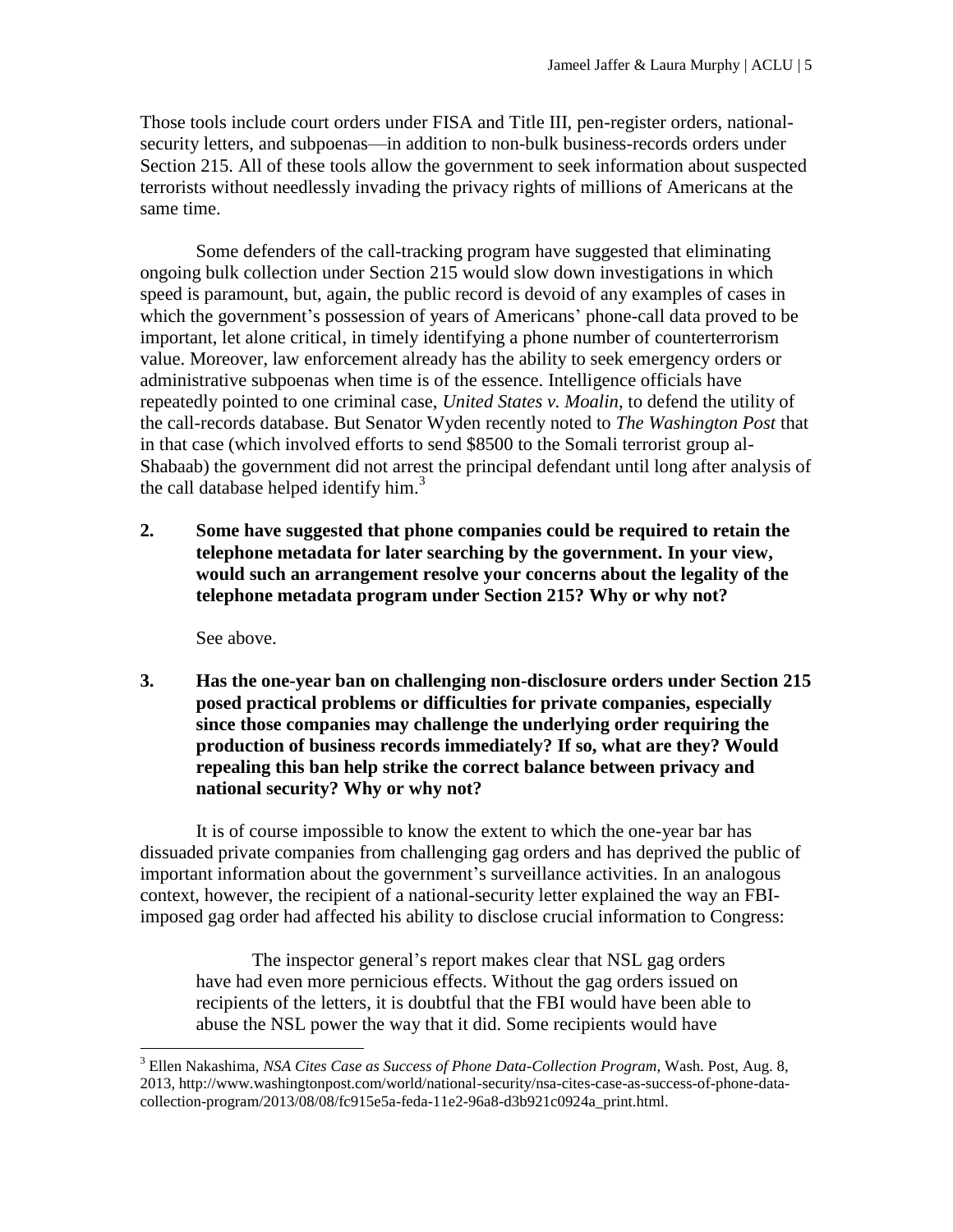Those tools include court orders under FISA and Title III, pen-register orders, nationalsecurity letters, and subpoenas—in addition to non-bulk business-records orders under Section 215. All of these tools allow the government to seek information about suspected terrorists without needlessly invading the privacy rights of millions of Americans at the same time.

Some defenders of the call-tracking program have suggested that eliminating ongoing bulk collection under Section 215 would slow down investigations in which speed is paramount, but, again, the public record is devoid of any examples of cases in which the government's possession of years of Americans' phone-call data proved to be important, let alone critical, in timely identifying a phone number of counterterrorism value. Moreover, law enforcement already has the ability to seek emergency orders or administrative subpoenas when time is of the essence. Intelligence officials have repeatedly pointed to one criminal case, *United States v. Moalin*, to defend the utility of the call-records database. But Senator Wyden recently noted to *The Washington Post* that in that case (which involved efforts to send \$8500 to the Somali terrorist group al-Shabaab) the government did not arrest the principal defendant until long after analysis of the call database helped identify him.<sup>3</sup>

**2. Some have suggested that phone companies could be required to retain the telephone metadata for later searching by the government. In your view, would such an arrangement resolve your concerns about the legality of the telephone metadata program under Section 215? Why or why not?** 

See above.

 $\overline{a}$ 

**3. Has the one-year ban on challenging non-disclosure orders under Section 215 posed practical problems or difficulties for private companies, especially since those companies may challenge the underlying order requiring the production of business records immediately? If so, what are they? Would repealing this ban help strike the correct balance between privacy and national security? Why or why not?**

It is of course impossible to know the extent to which the one-year bar has dissuaded private companies from challenging gag orders and has deprived the public of important information about the government's surveillance activities. In an analogous context, however, the recipient of a national-security letter explained the way an FBIimposed gag order had affected his ability to disclose crucial information to Congress:

The inspector general's report makes clear that NSL gag orders have had even more pernicious effects. Without the gag orders issued on recipients of the letters, it is doubtful that the FBI would have been able to abuse the NSL power the way that it did. Some recipients would have

<sup>3</sup> Ellen Nakashima, *NSA Cites Case as Success of Phone Data-Collection Program*, Wash. Post, Aug. 8, 2013, http://www.washingtonpost.com/world/national-security/nsa-cites-case-as-success-of-phone-datacollection-program/2013/08/08/fc915e5a-feda-11e2-96a8-d3b921c0924a\_print.html.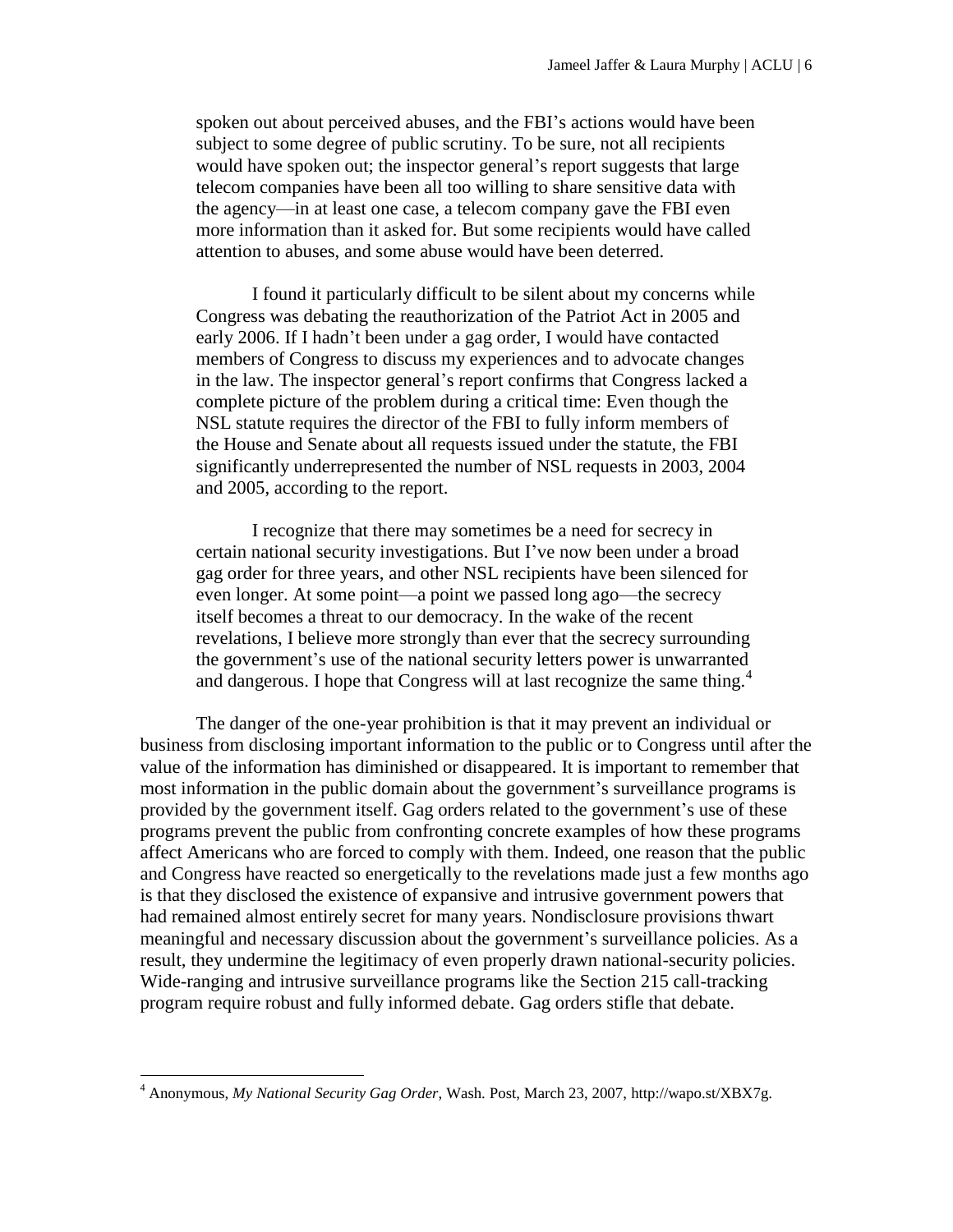spoken out about perceived abuses, and the FBI's actions would have been subject to some degree of public scrutiny. To be sure, not all recipients would have spoken out; the inspector general's report suggests that large telecom companies have been all too willing to share sensitive data with the agency—in at least one case, a telecom company gave the FBI even more information than it asked for. But some recipients would have called attention to abuses, and some abuse would have been deterred.

I found it particularly difficult to be silent about my concerns while Congress was debating the reauthorization of the Patriot Act in 2005 and early 2006. If I hadn't been under a gag order, I would have contacted members of Congress to discuss my experiences and to advocate changes in the law. The inspector general's report confirms that Congress lacked a complete picture of the problem during a critical time: Even though the NSL statute requires the director of the FBI to fully inform members of the House and Senate about all requests issued under the statute, the FBI significantly underrepresented the number of NSL requests in 2003, 2004 and 2005, according to the report.

I recognize that there may sometimes be a need for secrecy in certain national security investigations. But I've now been under a broad gag order for three years, and other NSL recipients have been silenced for even longer. At some point—a point we passed long ago—the secrecy itself becomes a threat to our democracy. In the wake of the recent revelations, I believe more strongly than ever that the secrecy surrounding the government's use of the national security letters power is unwarranted and dangerous. I hope that Congress will at last recognize the same thing.<sup>4</sup>

The danger of the one-year prohibition is that it may prevent an individual or business from disclosing important information to the public or to Congress until after the value of the information has diminished or disappeared. It is important to remember that most information in the public domain about the government's surveillance programs is provided by the government itself. Gag orders related to the government's use of these programs prevent the public from confronting concrete examples of how these programs affect Americans who are forced to comply with them. Indeed, one reason that the public and Congress have reacted so energetically to the revelations made just a few months ago is that they disclosed the existence of expansive and intrusive government powers that had remained almost entirely secret for many years. Nondisclosure provisions thwart meaningful and necessary discussion about the government's surveillance policies. As a result, they undermine the legitimacy of even properly drawn national-security policies. Wide-ranging and intrusive surveillance programs like the Section 215 call-tracking program require robust and fully informed debate. Gag orders stifle that debate.

<sup>4</sup> Anonymous, *My National Security Gag Order*, Wash. Post, March 23, 2007, http://wapo.st/XBX7g.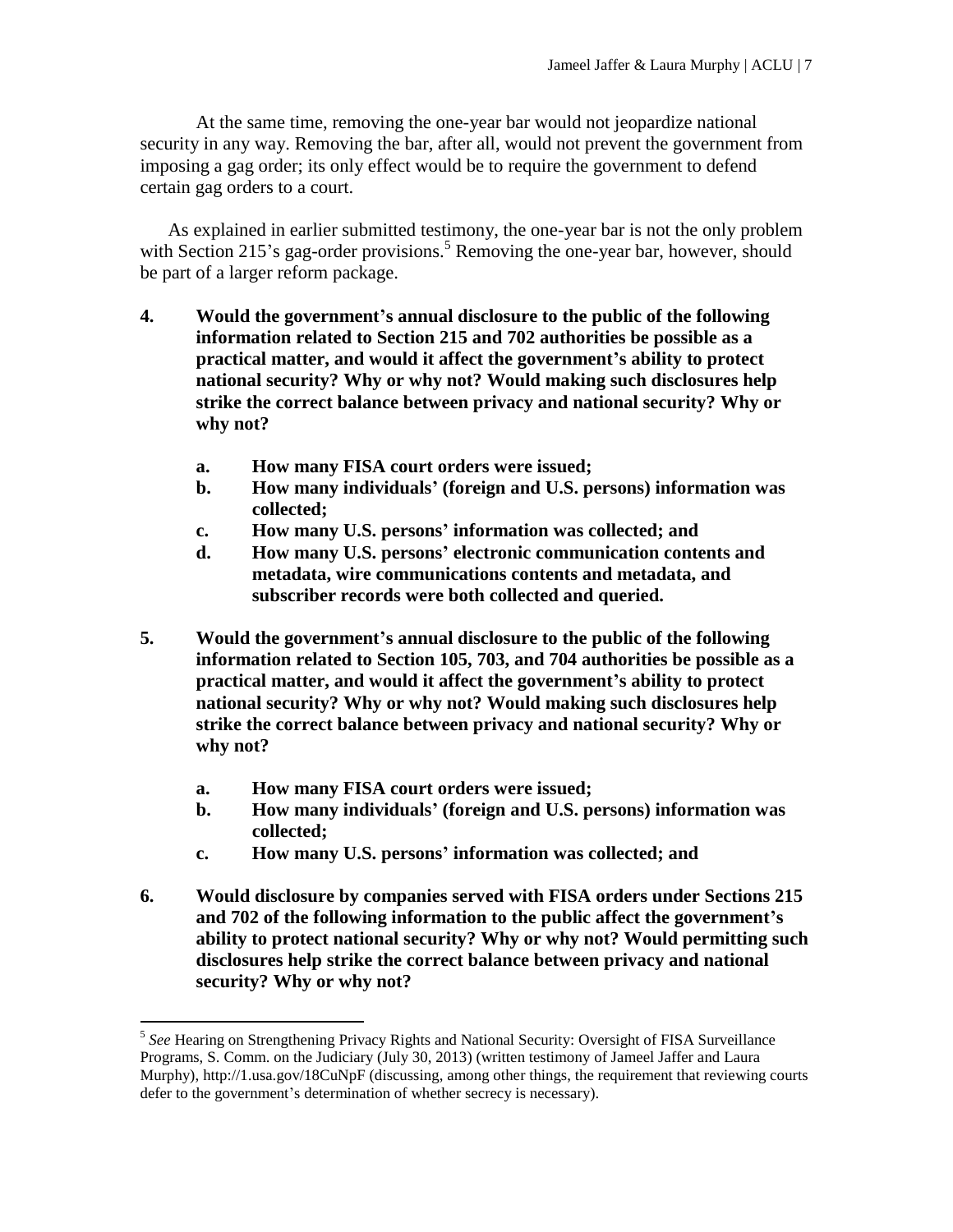At the same time, removing the one-year bar would not jeopardize national security in any way. Removing the bar, after all, would not prevent the government from imposing a gag order; its only effect would be to require the government to defend certain gag orders to a court.

As explained in earlier submitted testimony, the one-year bar is not the only problem with Section 215's gag-order provisions.<sup>5</sup> Removing the one-year bar, however, should be part of a larger reform package.

- **4. Would the government's annual disclosure to the public of the following information related to Section 215 and 702 authorities be possible as a practical matter, and would it affect the government's ability to protect national security? Why or why not? Would making such disclosures help strike the correct balance between privacy and national security? Why or why not?** 
	- **a. How many FISA court orders were issued;**
	- **b. How many individuals' (foreign and U.S. persons) information was collected;**
	- **c. How many U.S. persons' information was collected; and**
	- **d. How many U.S. persons' electronic communication contents and metadata, wire communications contents and metadata, and subscriber records were both collected and queried.**
- **5. Would the government's annual disclosure to the public of the following information related to Section 105, 703, and 704 authorities be possible as a practical matter, and would it affect the government's ability to protect national security? Why or why not? Would making such disclosures help strike the correct balance between privacy and national security? Why or why not?** 
	- **a. How many FISA court orders were issued;**
	- **b. How many individuals' (foreign and U.S. persons) information was collected;**
	- **c. How many U.S. persons' information was collected; and**
- **6. Would disclosure by companies served with FISA orders under Sections 215 and 702 of the following information to the public affect the government's ability to protect national security? Why or why not? Would permitting such disclosures help strike the correct balance between privacy and national security? Why or why not?**

<sup>&</sup>lt;sup>5</sup> See Hearing on Strengthening Privacy Rights and National Security: Oversight of FISA Surveillance Programs, S. Comm. on the Judiciary (July 30, 2013) (written testimony of Jameel Jaffer and Laura Murphy), http://1.usa.gov/18CuNpF (discussing, among other things, the requirement that reviewing courts defer to the government's determination of whether secrecy is necessary).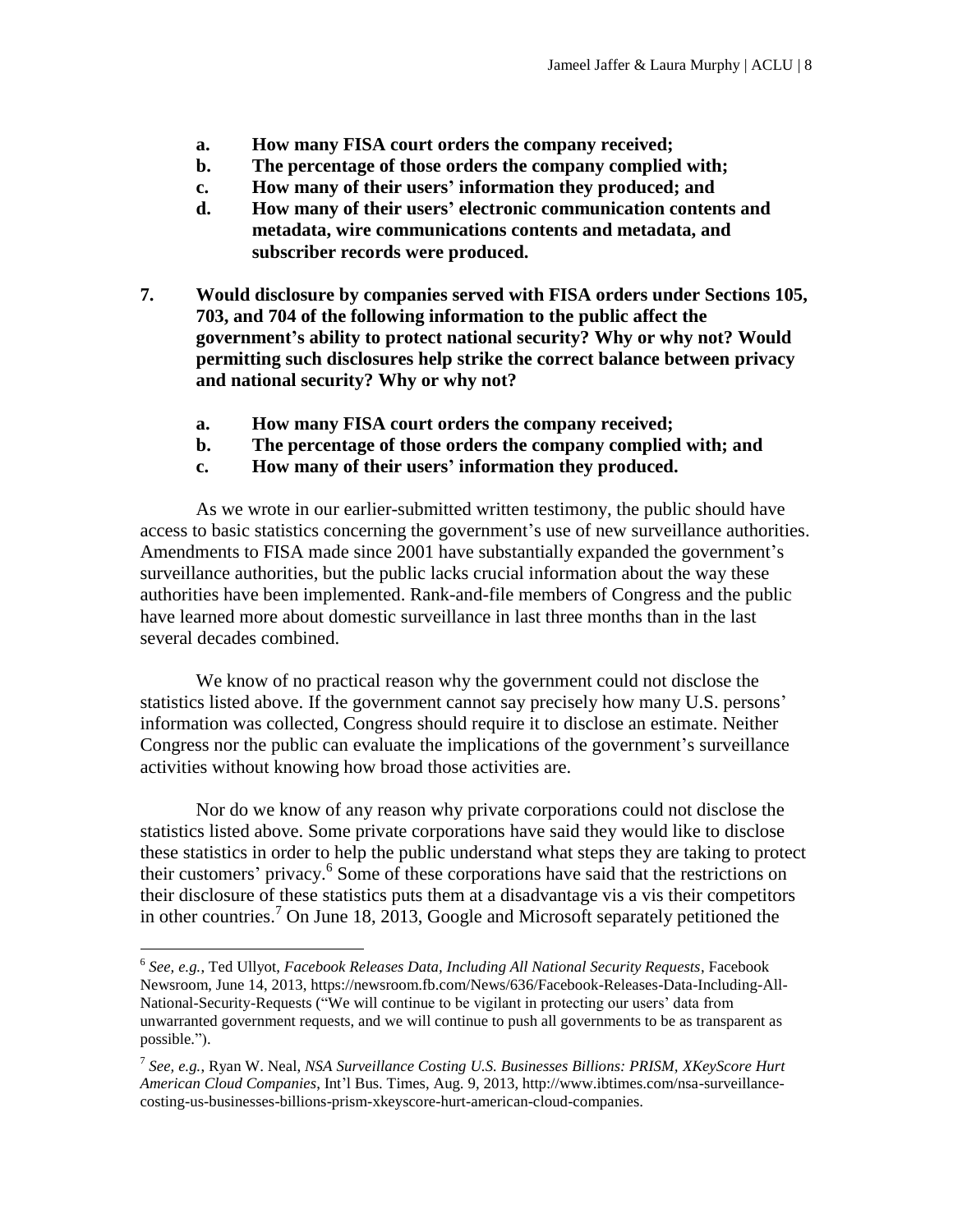- **a. How many FISA court orders the company received;**
- **b. The percentage of those orders the company complied with;**
- **c. How many of their users' information they produced; and**
- **d. How many of their users' electronic communication contents and metadata, wire communications contents and metadata, and subscriber records were produced.**
- **7. Would disclosure by companies served with FISA orders under Sections 105, 703, and 704 of the following information to the public affect the government's ability to protect national security? Why or why not? Would permitting such disclosures help strike the correct balance between privacy and national security? Why or why not?**
	- **a. How many FISA court orders the company received;**
	- **b. The percentage of those orders the company complied with; and**
	- **c. How many of their users' information they produced.**

As we wrote in our earlier-submitted written testimony, the public should have access to basic statistics concerning the government's use of new surveillance authorities. Amendments to FISA made since 2001 have substantially expanded the government's surveillance authorities, but the public lacks crucial information about the way these authorities have been implemented. Rank-and-file members of Congress and the public have learned more about domestic surveillance in last three months than in the last several decades combined.

We know of no practical reason why the government could not disclose the statistics listed above. If the government cannot say precisely how many U.S. persons' information was collected, Congress should require it to disclose an estimate. Neither Congress nor the public can evaluate the implications of the government's surveillance activities without knowing how broad those activities are.

Nor do we know of any reason why private corporations could not disclose the statistics listed above. Some private corporations have said they would like to disclose these statistics in order to help the public understand what steps they are taking to protect their customers' privacy.<sup>6</sup> Some of these corporations have said that the restrictions on their disclosure of these statistics puts them at a disadvantage vis a vis their competitors in other countries.<sup>7</sup> On June 18, 2013, Google and Microsoft separately petitioned the

<sup>6</sup> *See, e.g.*, Ted Ullyot, *Facebook Releases Data, Including All National Security Requests*, Facebook Newsroom, June 14, 2013, https://newsroom.fb.com/News/636/Facebook-Releases-Data-Including-All-National-Security-Requests ("We will continue to be vigilant in protecting our users' data from unwarranted government requests, and we will continue to push all governments to be as transparent as possible.").

<sup>7</sup> *See, e.g.*, Ryan W. Neal, *NSA Surveillance Costing U.S. Businesses Billions: PRISM, XKeyScore Hurt American Cloud Companies*, Int'l Bus. Times, Aug. 9, 2013, http://www.ibtimes.com/nsa-surveillancecosting-us-businesses-billions-prism-xkeyscore-hurt-american-cloud-companies.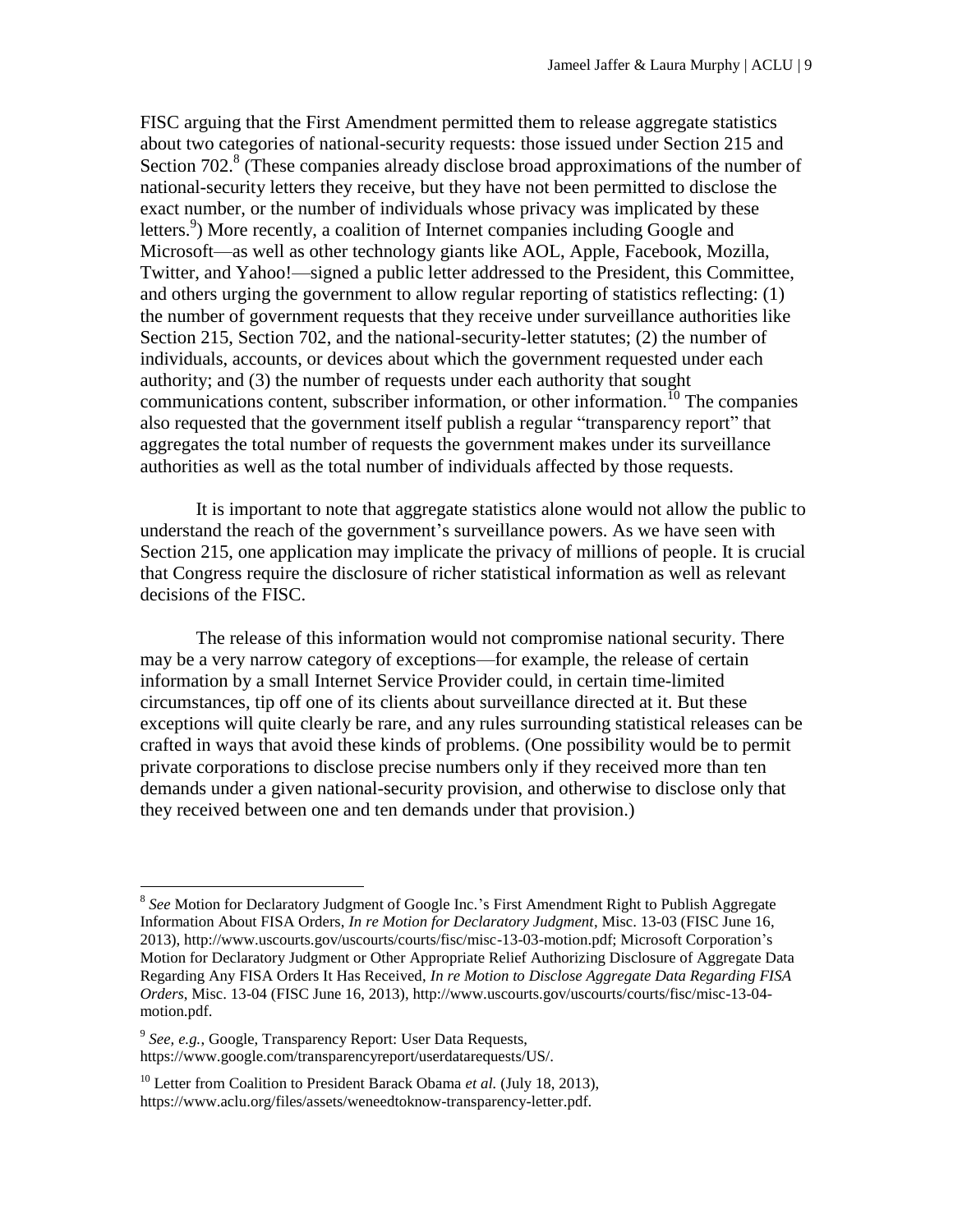FISC arguing that the First Amendment permitted them to release aggregate statistics about two categories of national-security requests: those issued under Section 215 and Section 702.<sup>8</sup> (These companies already disclose broad approximations of the number of national-security letters they receive, but they have not been permitted to disclose the exact number, or the number of individuals whose privacy was implicated by these letters.<sup>9</sup>) More recently, a coalition of Internet companies including Google and Microsoft—as well as other technology giants like AOL, Apple, Facebook, Mozilla, Twitter, and Yahoo!—signed a public letter addressed to the President, this Committee, and others urging the government to allow regular reporting of statistics reflecting: (1) the number of government requests that they receive under surveillance authorities like Section 215, Section 702, and the national-security-letter statutes; (2) the number of individuals, accounts, or devices about which the government requested under each authority; and (3) the number of requests under each authority that sought communications content, subscriber information, or other information.<sup>10</sup> The companies also requested that the government itself publish a regular "transparency report" that aggregates the total number of requests the government makes under its surveillance authorities as well as the total number of individuals affected by those requests.

It is important to note that aggregate statistics alone would not allow the public to understand the reach of the government's surveillance powers. As we have seen with Section 215, one application may implicate the privacy of millions of people. It is crucial that Congress require the disclosure of richer statistical information as well as relevant decisions of the FISC.

The release of this information would not compromise national security. There may be a very narrow category of exceptions—for example, the release of certain information by a small Internet Service Provider could, in certain time-limited circumstances, tip off one of its clients about surveillance directed at it. But these exceptions will quite clearly be rare, and any rules surrounding statistical releases can be crafted in ways that avoid these kinds of problems. (One possibility would be to permit private corporations to disclose precise numbers only if they received more than ten demands under a given national-security provision, and otherwise to disclose only that they received between one and ten demands under that provision.)

<sup>&</sup>lt;sup>8</sup> See Motion for Declaratory Judgment of Google Inc.'s First Amendment Right to Publish Aggregate Information About FISA Orders, *In re Motion for Declaratory Judgment*, Misc. 13-03 (FISC June 16, 2013), http://www.uscourts.gov/uscourts/courts/fisc/misc-13-03-motion.pdf; Microsoft Corporation's Motion for Declaratory Judgment or Other Appropriate Relief Authorizing Disclosure of Aggregate Data Regarding Any FISA Orders It Has Received, *In re Motion to Disclose Aggregate Data Regarding FISA Orders*, Misc. 13-04 (FISC June 16, 2013), http://www.uscourts.gov/uscourts/courts/fisc/misc-13-04 motion.pdf.

<sup>9</sup> *See, e.g.*, Google, Transparency Report: User Data Requests, https://www.google.com/transparencyreport/userdatarequests/US/.

<sup>&</sup>lt;sup>10</sup> Letter from Coalition to President Barack Obama *et al.* (July 18, 2013), https://www.aclu.org/files/assets/weneedtoknow-transparency-letter.pdf.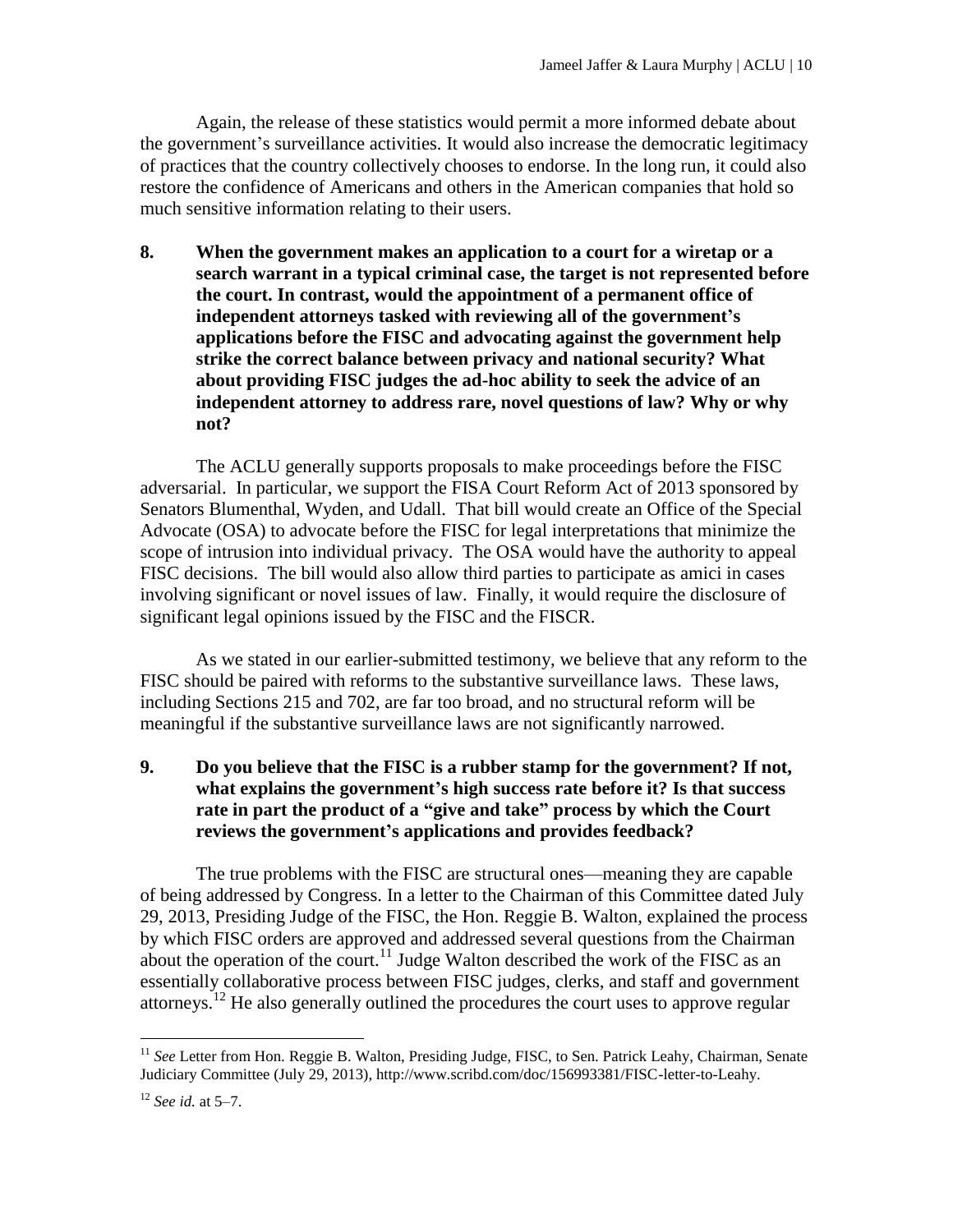Again, the release of these statistics would permit a more informed debate about the government's surveillance activities. It would also increase the democratic legitimacy of practices that the country collectively chooses to endorse. In the long run, it could also restore the confidence of Americans and others in the American companies that hold so much sensitive information relating to their users.

**8. When the government makes an application to a court for a wiretap or a search warrant in a typical criminal case, the target is not represented before the court. In contrast, would the appointment of a permanent office of independent attorneys tasked with reviewing all of the government's applications before the FISC and advocating against the government help strike the correct balance between privacy and national security? What about providing FISC judges the ad-hoc ability to seek the advice of an independent attorney to address rare, novel questions of law? Why or why not?**

The ACLU generally supports proposals to make proceedings before the FISC adversarial. In particular, we support the FISA Court Reform Act of 2013 sponsored by Senators Blumenthal, Wyden, and Udall. That bill would create an Office of the Special Advocate (OSA) to advocate before the FISC for legal interpretations that minimize the scope of intrusion into individual privacy. The OSA would have the authority to appeal FISC decisions. The bill would also allow third parties to participate as amici in cases involving significant or novel issues of law. Finally, it would require the disclosure of significant legal opinions issued by the FISC and the FISCR.

As we stated in our earlier-submitted testimony, we believe that any reform to the FISC should be paired with reforms to the substantive surveillance laws. These laws, including Sections 215 and 702, are far too broad, and no structural reform will be meaningful if the substantive surveillance laws are not significantly narrowed.

**9. Do you believe that the FISC is a rubber stamp for the government? If not, what explains the government's high success rate before it? Is that success rate in part the product of a "give and take" process by which the Court reviews the government's applications and provides feedback?**

The true problems with the FISC are structural ones—meaning they are capable of being addressed by Congress. In a letter to the Chairman of this Committee dated July 29, 2013, Presiding Judge of the FISC, the Hon. Reggie B. Walton, explained the process by which FISC orders are approved and addressed several questions from the Chairman about the operation of the court.<sup>11</sup> Judge Walton described the work of the FISC as an essentially collaborative process between FISC judges, clerks, and staff and government attorneys.<sup>12</sup> He also generally outlined the procedures the court uses to approve regular

 $\overline{a}$ <sup>11</sup> See Letter from Hon. Reggie B. Walton, Presiding Judge, FISC, to Sen. Patrick Leahy, Chairman, Senate Judiciary Committee (July 29, 2013), http://www.scribd.com/doc/156993381/FISC-letter-to-Leahy.

<sup>12</sup> *See id.* at 5–7.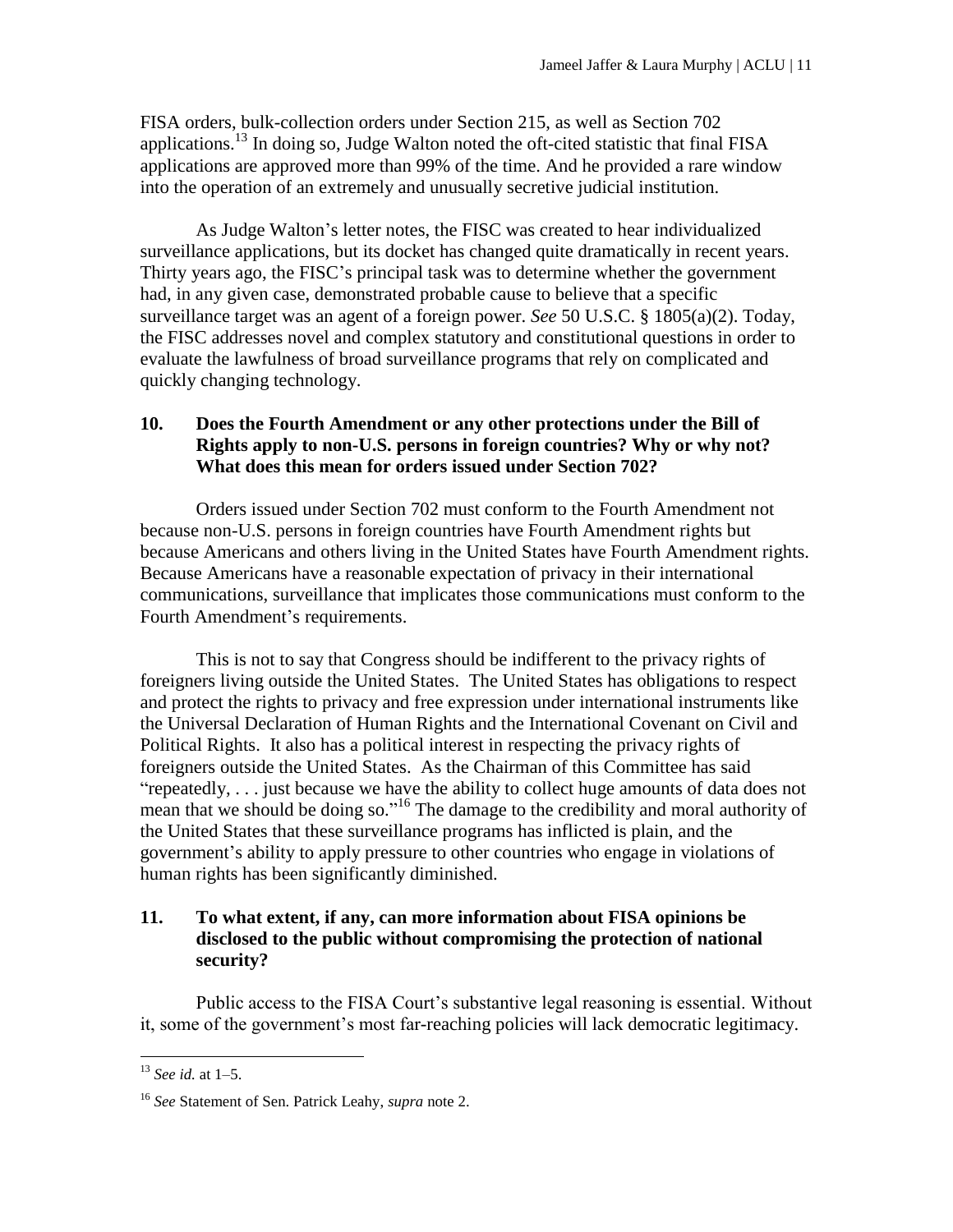FISA orders, bulk-collection orders under Section 215, as well as Section 702 applications.<sup>13</sup> In doing so, Judge Walton noted the oft-cited statistic that final FISA applications are approved more than 99% of the time. And he provided a rare window into the operation of an extremely and unusually secretive judicial institution.

As Judge Walton's letter notes, the FISC was created to hear individualized surveillance applications, but its docket has changed quite dramatically in recent years. Thirty years ago, the FISC's principal task was to determine whether the government had, in any given case, demonstrated probable cause to believe that a specific surveillance target was an agent of a foreign power. *See* 50 U.S.C. § 1805(a)(2). Today, the FISC addresses novel and complex statutory and constitutional questions in order to evaluate the lawfulness of broad surveillance programs that rely on complicated and quickly changing technology.

## **10. Does the Fourth Amendment or any other protections under the Bill of Rights apply to non-U.S. persons in foreign countries? Why or why not? What does this mean for orders issued under Section 702?**

Orders issued under Section 702 must conform to the Fourth Amendment not because non-U.S. persons in foreign countries have Fourth Amendment rights but because Americans and others living in the United States have Fourth Amendment rights. Because Americans have a reasonable expectation of privacy in their international communications, surveillance that implicates those communications must conform to the Fourth Amendment's requirements.

This is not to say that Congress should be indifferent to the privacy rights of foreigners living outside the United States. The United States has obligations to respect and protect the rights to privacy and free expression under international instruments like the Universal Declaration of Human Rights and the International Covenant on Civil and Political Rights. It also has a political interest in respecting the privacy rights of foreigners outside the United States. As the Chairman of this Committee has said "repeatedly, . . . just because we have the ability to collect huge amounts of data does not mean that we should be doing so."<sup>16</sup> The damage to the credibility and moral authority of the United States that these surveillance programs has inflicted is plain, and the government's ability to apply pressure to other countries who engage in violations of human rights has been significantly diminished.

#### **11. To what extent, if any, can more information about FISA opinions be disclosed to the public without compromising the protection of national security?**

Public access to the FISA Court's substantive legal reasoning is essential. Without it, some of the government's most far-reaching policies will lack democratic legitimacy.

<sup>13</sup> *See id.* at 1–5.

<sup>16</sup> *See* Statement of Sen. Patrick Leahy, *supra* note 2.